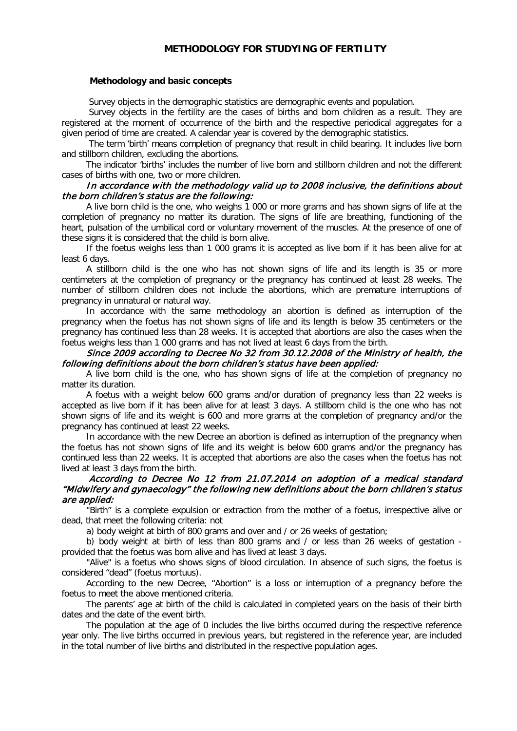# **METHODOLOGY FOR STUDYING OF FERTILITY**

### **Methodology and basic concepts**

Survey objects in the demographic statistics are demographic events and population.

Survey objects in the fertility are the cases of births and born children as a result. They are registered at the moment of occurrence of the birth and the respective periodical aggregates for a given period of time are created. A calendar year is covered by the demographic statistics.

The term 'birth' means completion of pregnancy that result in child bearing. It includes live born and stillborn children, excluding the abortions.

The indicator 'births' includes the number of live born and stillborn children and not the different cases of births with one, two or more children.

# In accordance with the methodology valid up to 2008 inclusive, the definitions about the born children's status are the following:

A live born child is the one, who weighs 1 000 or more grams and has shown signs of life at the completion of pregnancy no matter its duration. The signs of life are breathing, functioning of the heart, pulsation of the umbilical cord or voluntary movement of the muscles. At the presence of one of these signs it is considered that the child is born alive.

If the foetus weighs less than 1 000 grams it is accepted as live born if it has been alive for at least 6 days.

A stillborn child is the one who has not shown signs of life and its length is 35 or more centimeters at the completion of pregnancy or the pregnancy has continued at least 28 weeks. The number of stillborn children does not include the abortions, which are premature interruptions of pregnancy in unnatural or natural way.

In accordance with the same methodology an abortion is defined as interruption of the pregnancy when the foetus has not shown signs of life and its length is below 35 centimeters or the pregnancy has continued less than 28 weeks. It is accepted that abortions are also the cases when the foetus weighs less than 1 000 grams and has not lived at least 6 days from the birth.

### Since 2009 according to Decree No 32 from 30.12.2008 of the Ministry of health, the following definitions about the born children's status have been applied:

A live born child is the one, who has shown signs of life at the completion of pregnancy no matter its duration.

A foetus with a weight below 600 grams and/or duration of pregnancy less than 22 weeks is accepted as live born if it has been alive for at least 3 days. A stillborn child is the one who has not shown signs of life and its weight is 600 and more grams at the completion of pregnancy and/or the pregnancy has continued at least 22 weeks.

In accordance with the new Decree an abortion is defined as interruption of the pregnancy when the foetus has not shown signs of life and its weight is below 600 grams and/or the pregnancy has continued less than 22 weeks. It is accepted that abortions are also the cases when the foetus has not lived at least 3 days from the birth.

# According to Decree No 12 from 21.07.2014 on adoption of a medical standard "Midwifery and gynaecology" the following new definitions about the born children's status are applied:

"Birth" is a complete expulsion or extraction from the mother of a foetus, irrespective alive or dead, that meet the following criteria: not

a) body weight at birth of 800 grams and over and / or 26 weeks of gestation;

b) body weight at birth of less than 800 grams and / or less than 26 weeks of gestation provided that the foetus was born alive and has lived at least 3 days.

"Alive" is a foetus who shows signs of blood circulation. In absence of such signs, the foetus is considered "dead" (foetus mortuus).

According to the new Decree, "Abortion" is a loss or interruption of a pregnancy before the foetus to meet the above mentioned criteria.

The parents' age at birth of the child is calculated in completed years on the basis of their birth dates and the date of the event birth.

The population at the age of 0 includes the live births occurred during the respective reference year only. The live births occurred in previous years, but registered in the reference year, are included in the total number of live births and distributed in the respective population ages.